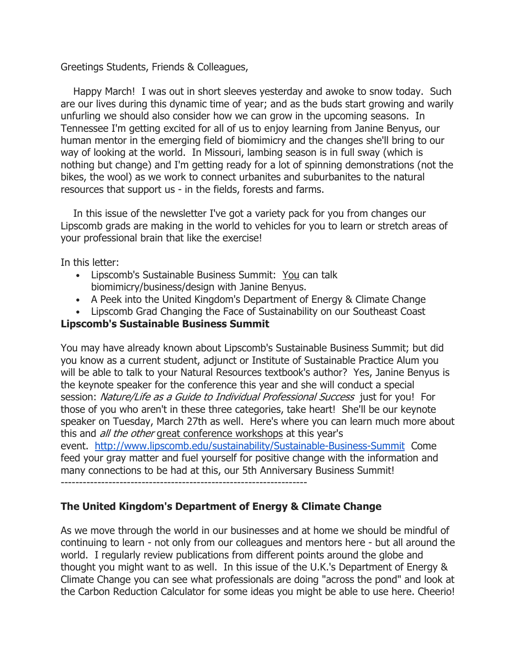Greetings Students, Friends & Colleagues,

 Happy March! I was out in short sleeves yesterday and awoke to snow today. Such are our lives during this dynamic time of year; and as the buds start growing and warily unfurling we should also consider how we can grow in the upcoming seasons. In Tennessee I'm getting excited for all of us to enjoy learning from Janine Benyus, our human mentor in the emerging field of biomimicry and the changes she'll bring to our way of looking at the world. In Missouri, lambing season is in full sway (which is nothing but change) and I'm getting ready for a lot of spinning demonstrations (not the bikes, the wool) as we work to connect urbanites and suburbanites to the natural resources that support us - in the fields, forests and farms.

 In this issue of the newsletter I've got a variety pack for you from changes our Lipscomb grads are making in the world to vehicles for you to learn or stretch areas of your professional brain that like the exercise!

In this letter:

- Lipscomb's Sustainable Business Summit: You can talk biomimicry/business/design with Janine Benyus.
- A Peek into the United Kingdom's Department of Energy & Climate Change
- Lipscomb Grad Changing the Face of Sustainability on our Southeast Coast

# Lipscomb's Sustainable Business Summit

You may have already known about Lipscomb's Sustainable Business Summit; but did you know as a current student, adjunct or Institute of Sustainable Practice Alum you will be able to talk to your Natural Resources textbook's author? Yes, Janine Benyus is the keynote speaker for the conference this year and she will conduct a special session: Nature/Life as a Guide to Individual Professional Success just for you! For those of you who aren't in these three categories, take heart! She'll be our keynote speaker on Tuesday, March 27th as well. Here's where you can learn much more about this and *all the other* great conference workshops at this year's event. http://www.lipscomb.edu/sustainability/Sustainable-Business-Summit Come feed your gray matter and fuel yourself for positive change with the information and many connections to be had at this, our 5th Anniversary Business Summit! -------------------------------------------------------------------

# The United Kingdom's Department of Energy & Climate Change

As we move through the world in our businesses and at home we should be mindful of continuing to learn - not only from our colleagues and mentors here - but all around the world. I regularly review publications from different points around the globe and thought you might want to as well. In this issue of the U.K.'s Department of Energy & Climate Change you can see what professionals are doing "across the pond" and look at the Carbon Reduction Calculator for some ideas you might be able to use here. Cheerio!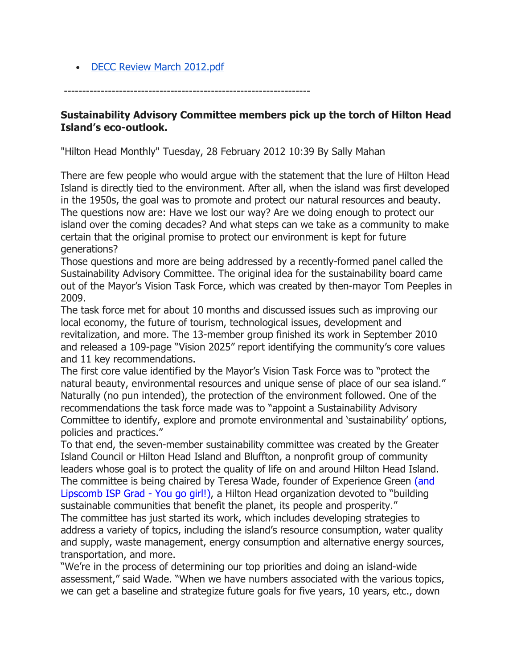• DECC Review March 2012.pdf

-------------------------------------------------------------------

#### Sustainability Advisory Committee members pick up the torch of Hilton Head Island's eco-outlook.

"Hilton Head Monthly" Tuesday, 28 February 2012 10:39 By Sally Mahan

There are few people who would argue with the statement that the lure of Hilton Head Island is directly tied to the environment. After all, when the island was first developed in the 1950s, the goal was to promote and protect our natural resources and beauty. The questions now are: Have we lost our way? Are we doing enough to protect our island over the coming decades? And what steps can we take as a community to make certain that the original promise to protect our environment is kept for future generations?

Those questions and more are being addressed by a recently-formed panel called the Sustainability Advisory Committee. The original idea for the sustainability board came out of the Mayor's Vision Task Force, which was created by then-mayor Tom Peeples in 2009.

The task force met for about 10 months and discussed issues such as improving our local economy, the future of tourism, technological issues, development and revitalization, and more. The 13-member group finished its work in September 2010 and released a 109-page "Vision 2025" report identifying the community's core values and 11 key recommendations.

The first core value identified by the Mayor's Vision Task Force was to "protect the natural beauty, environmental resources and unique sense of place of our sea island." Naturally (no pun intended), the protection of the environment followed. One of the recommendations the task force made was to "appoint a Sustainability Advisory Committee to identify, explore and promote environmental and 'sustainability' options, policies and practices."

To that end, the seven-member sustainability committee was created by the Greater Island Council or Hilton Head Island and Bluffton, a nonprofit group of community leaders whose goal is to protect the quality of life on and around Hilton Head Island. The committee is being chaired by Teresa Wade, founder of Experience Green (and Lipscomb ISP Grad - You go girl!), a Hilton Head organization devoted to "building sustainable communities that benefit the planet, its people and prosperity."

The committee has just started its work, which includes developing strategies to address a variety of topics, including the island's resource consumption, water quality and supply, waste management, energy consumption and alternative energy sources, transportation, and more.

"We're in the process of determining our top priorities and doing an island-wide assessment," said Wade. "When we have numbers associated with the various topics, we can get a baseline and strategize future goals for five years, 10 years, etc., down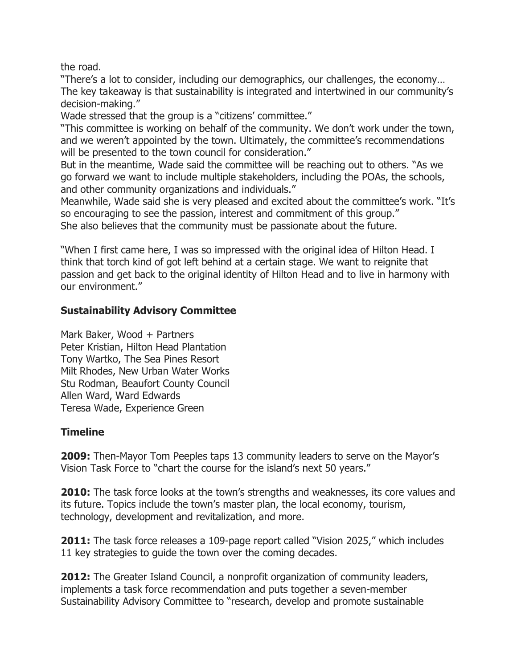the road.

"There's a lot to consider, including our demographics, our challenges, the economy… The key takeaway is that sustainability is integrated and intertwined in our community's decision-making."

Wade stressed that the group is a "citizens' committee."

"This committee is working on behalf of the community. We don't work under the town, and we weren't appointed by the town. Ultimately, the committee's recommendations will be presented to the town council for consideration."

But in the meantime, Wade said the committee will be reaching out to others. "As we go forward we want to include multiple stakeholders, including the POAs, the schools, and other community organizations and individuals."

Meanwhile, Wade said she is very pleased and excited about the committee's work. "It's so encouraging to see the passion, interest and commitment of this group." She also believes that the community must be passionate about the future.

"When I first came here, I was so impressed with the original idea of Hilton Head. I think that torch kind of got left behind at a certain stage. We want to reignite that passion and get back to the original identity of Hilton Head and to live in harmony with our environment."

## Sustainability Advisory Committee

Mark Baker, Wood + Partners Peter Kristian, Hilton Head Plantation Tony Wartko, The Sea Pines Resort Milt Rhodes, New Urban Water Works Stu Rodman, Beaufort County Council Allen Ward, Ward Edwards Teresa Wade, Experience Green

## **Timeline**

**2009:** Then-Mayor Tom Peeples taps 13 community leaders to serve on the Mayor's Vision Task Force to "chart the course for the island's next 50 years."

**2010:** The task force looks at the town's strengths and weaknesses, its core values and its future. Topics include the town's master plan, the local economy, tourism, technology, development and revitalization, and more.

2011: The task force releases a 109-page report called "Vision 2025," which includes 11 key strategies to guide the town over the coming decades.

2012: The Greater Island Council, a nonprofit organization of community leaders, implements a task force recommendation and puts together a seven-member Sustainability Advisory Committee to "research, develop and promote sustainable